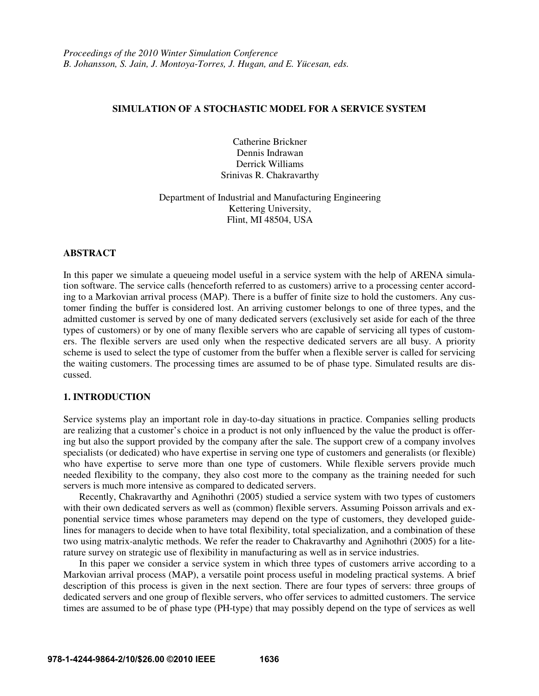# **SIMULATION OF A STOCHASTIC MODEL FOR A SERVICE SYSTEM**

Catherine Brickner Dennis Indrawan Derrick Williams Srinivas R. Chakravarthy

Department of Industrial and Manufacturing Engineering Kettering University, Flint, MI 48504, USA

## **ABSTRACT**

In this paper we simulate a queueing model useful in a service system with the help of ARENA simulation software. The service calls (henceforth referred to as customers) arrive to a processing center according to a Markovian arrival process (MAP). There is a buffer of finite size to hold the customers. Any customer finding the buffer is considered lost. An arriving customer belongs to one of three types, and the admitted customer is served by one of many dedicated servers (exclusively set aside for each of the three types of customers) or by one of many flexible servers who are capable of servicing all types of customers. The flexible servers are used only when the respective dedicated servers are all busy. A priority scheme is used to select the type of customer from the buffer when a flexible server is called for servicing the waiting customers. The processing times are assumed to be of phase type. Simulated results are discussed.

## **1. INTRODUCTION**

Service systems play an important role in day-to-day situations in practice. Companies selling products are realizing that a customer's choice in a product is not only influenced by the value the product is offering but also the support provided by the company after the sale. The support crew of a company involves specialists (or dedicated) who have expertise in serving one type of customers and generalists (or flexible) who have expertise to serve more than one type of customers. While flexible servers provide much needed flexibility to the company, they also cost more to the company as the training needed for such servers is much more intensive as compared to dedicated servers.

 Recently, Chakravarthy and Agnihothri (2005) studied a service system with two types of customers with their own dedicated servers as well as (common) flexible servers. Assuming Poisson arrivals and exponential service times whose parameters may depend on the type of customers, they developed guidelines for managers to decide when to have total flexibility, total specialization, and a combination of these two using matrix-analytic methods. We refer the reader to Chakravarthy and Agnihothri (2005) for a literature survey on strategic use of flexibility in manufacturing as well as in service industries.

 In this paper we consider a service system in which three types of customers arrive according to a Markovian arrival process (MAP), a versatile point process useful in modeling practical systems. A brief description of this process is given in the next section. There are four types of servers: three groups of dedicated servers and one group of flexible servers, who offer services to admitted customers. The service times are assumed to be of phase type (PH-type) that may possibly depend on the type of services as well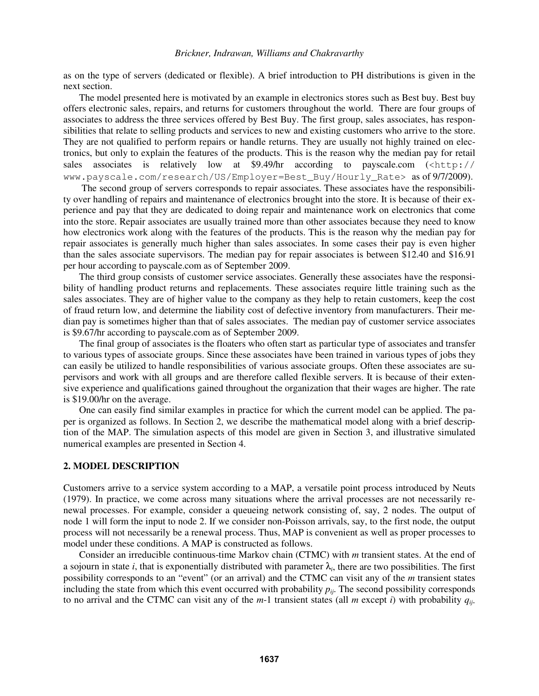as on the type of servers (dedicated or flexible). A brief introduction to PH distributions is given in the next section.

 The model presented here is motivated by an example in electronics stores such as Best buy. Best buy offers electronic sales, repairs, and returns for customers throughout the world. There are four groups of associates to address the three services offered by Best Buy. The first group, sales associates, has responsibilities that relate to selling products and services to new and existing customers who arrive to the store. They are not qualified to perform repairs or handle returns. They are usually not highly trained on electronics, but only to explain the features of the products. This is the reason why the median pay for retail sales associates is relatively low at  $$9.49/hr$  according to payscale.com (<http:// www.payscale.com/research/US/Employer=Best\_Buy/Hourly\_Rate> as of 9/7/2009).

 The second group of servers corresponds to repair associates. These associates have the responsibility over handling of repairs and maintenance of electronics brought into the store. It is because of their experience and pay that they are dedicated to doing repair and maintenance work on electronics that come into the store. Repair associates are usually trained more than other associates because they need to know how electronics work along with the features of the products. This is the reason why the median pay for repair associates is generally much higher than sales associates. In some cases their pay is even higher than the sales associate supervisors. The median pay for repair associates is between \$12.40 and \$16.91 per hour according to payscale.com as of September 2009.

 The third group consists of customer service associates. Generally these associates have the responsibility of handling product returns and replacements. These associates require little training such as the sales associates. They are of higher value to the company as they help to retain customers, keep the cost of fraud return low, and determine the liability cost of defective inventory from manufacturers. Their median pay is sometimes higher than that of sales associates. The median pay of customer service associates is \$9.67/hr according to payscale.com as of September 2009.

 The final group of associates is the floaters who often start as particular type of associates and transfer to various types of associate groups. Since these associates have been trained in various types of jobs they can easily be utilized to handle responsibilities of various associate groups. Often these associates are supervisors and work with all groups and are therefore called flexible servers. It is because of their extensive experience and qualifications gained throughout the organization that their wages are higher. The rate is \$19.00/hr on the average.

 One can easily find similar examples in practice for which the current model can be applied. The paper is organized as follows. In Section 2, we describe the mathematical model along with a brief description of the MAP. The simulation aspects of this model are given in Section 3, and illustrative simulated numerical examples are presented in Section 4.

#### **2. MODEL DESCRIPTION**

Customers arrive to a service system according to a MAP, a versatile point process introduced by Neuts (1979). In practice, we come across many situations where the arrival processes are not necessarily renewal processes. For example, consider a queueing network consisting of, say, 2 nodes. The output of node 1 will form the input to node 2. If we consider non-Poisson arrivals, say, to the first node, the output process will not necessarily be a renewal process. Thus, MAP is convenient as well as proper processes to model under these conditions. A MAP is constructed as follows.

 Consider an irreducible continuous-time Markov chain (CTMC) with *m* transient states. At the end of a sojourn in state *i*, that is exponentially distributed with parameter  $\lambda_i$ , there are two possibilities. The first possibility corresponds to an "event" (or an arrival) and the CTMC can visit any of the *m* transient states including the state from which this event occurred with probability  $p_{ij}$ . The second possibility corresponds to no arrival and the CTMC can visit any of the  $m-1$  transient states (all  $m$  except  $i$ ) with probability  $q_{ii}$ .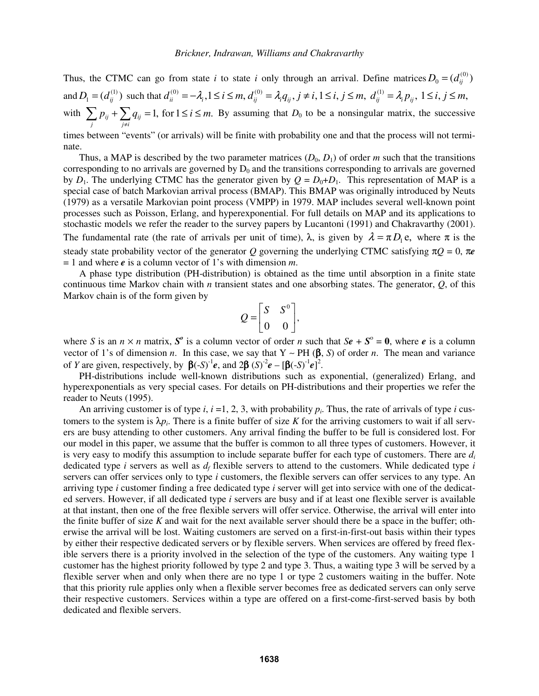Thus, the CTMC can go from state *i* to state *i* only through an arrival. Define matrices  $D_0 = (d_{ij}^{(0)})$ and  $D_1 = (d_{ij}^{(1)})$  such that  $d_{ii}^{(0)} = -\lambda_i, 1 \le i \le m, d_{ij}^{(0)} = \lambda_i q_{ij}, j \ne i, 1 \le i, j \le m, d_{ij}^{(1)} = \lambda_i p_{ij}, 1 \le i, j \le m,$ with  $\sum p_{ii} + \sum q_{ii} = 1$ , for  $1 \le i \le m$ . *ij ij j*  $\sum p_{ij} + \sum q_{ij} = 1$ , for  $1 \le i \le$ ≠ By assuming that  $D_0$  to be a nonsingular matrix, the successive times between "events" (or arrivals) will be finite with probability one and that the process will not termi-

nate.

Thus, a MAP is described by the two parameter matrices  $(D_0, D_1)$  of order *m* such that the transitions corresponding to no arrivals are governed by  $D_0$  and the transitions corresponding to arrivals are governed by  $D_1$ . The underlying CTMC has the generator given by  $Q = D_0 + D_1$ . This representation of MAP is a special case of batch Markovian arrival process (BMAP). This BMAP was originally introduced by Neuts (1979) as a versatile Markovian point process (VMPP) in 1979. MAP includes several well-known point processes such as Poisson, Erlang, and hyperexponential. For full details on MAP and its applications to stochastic models we refer the reader to the survey papers by Lucantoni (1991) and Chakravarthy (2001). The fundamental rate (the rate of arrivals per unit of time),  $\lambda$ , is given by  $\lambda = \pi D_1 e$ , where  $\pi$  is the steady state probability vector of the generator *Q* governing the underlying CTMC satisfying  $\pi Q = 0$ ,  $\pi e$ = 1 and where *e* is a column vector of 1's with dimension *m*.

 A phase type distribution (PH-distribution) is obtained as the time until absorption in a finite state continuous time Markov chain with *n* transient states and one absorbing states. The generator, *Q*, of this Markov chain is of the form given by

$$
Q = \begin{bmatrix} S & S^0 \\ 0 & 0 \end{bmatrix},
$$

where *S* is an  $n \times n$  matrix, *S*<sup>o</sup> is a column vector of order *n* such that  $Se + S^{\circ} = 0$ , where *e* is a column vector of 1's of dimension *n*. In this case, we say that Y ∼ PH (β, *S*) of order *n*. The mean and variance of *Y* are given, respectively, by  $\beta(-S)^{-1}e$ , and  $2\beta(S)^{-2}e - [\beta(-S)^{-1}e]^2$ .

 PH-distributions include well-known distributions such as exponential, (generalized) Erlang, and hyperexponentials as very special cases. For details on PH-distributions and their properties we refer the reader to Neuts (1995).

An arriving customer is of type  $i$ ,  $i = 1, 2, 3$ , with probability  $p_i$ . Thus, the rate of arrivals of type  $i$  customers to the system is  $\lambda p_i$ . There is a finite buffer of size K for the arriving customers to wait if all servers are busy attending to other customers. Any arrival finding the buffer to be full is considered lost. For our model in this paper, we assume that the buffer is common to all three types of customers. However, it is very easy to modify this assumption to include separate buffer for each type of customers. There are *di* dedicated type *i* servers as well as *df* flexible servers to attend to the customers. While dedicated type *i* servers can offer services only to type *i* customers, the flexible servers can offer services to any type. An arriving type *i* customer finding a free dedicated type *i* server will get into service with one of the dedicated servers. However, if all dedicated type *i* servers are busy and if at least one flexible server is available at that instant, then one of the free flexible servers will offer service. Otherwise, the arrival will enter into the finite buffer of size *K* and wait for the next available server should there be a space in the buffer; otherwise the arrival will be lost. Waiting customers are served on a first-in-first-out basis within their types by either their respective dedicated servers or by flexible servers. When services are offered by freed flexible servers there is a priority involved in the selection of the type of the customers. Any waiting type 1 customer has the highest priority followed by type 2 and type 3. Thus, a waiting type 3 will be served by a flexible server when and only when there are no type 1 or type 2 customers waiting in the buffer. Note that this priority rule applies only when a flexible server becomes free as dedicated servers can only serve their respective customers. Services within a type are offered on a first-come-first-served basis by both dedicated and flexible servers.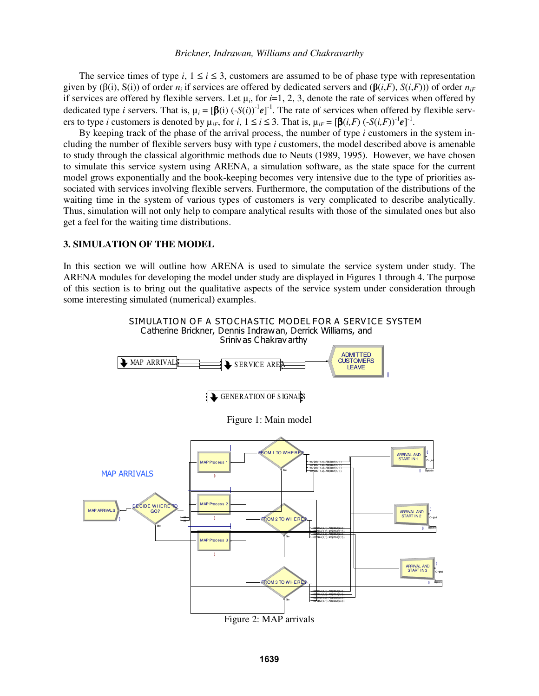The service times of type *i*,  $1 \le i \le 3$ , customers are assumed to be of phase type with representation given by (β(*i*), S(*i*)) of order *n<sub>i</sub>* if services are offered by dedicated servers and ( $β(i, F)$ ,  $S(i, F)$ )) of order  $n_{if}$ if services are offered by flexible servers. Let  $\mu_i$ , for  $i=1, 2, 3$ , denote the rate of services when offered by dedicated type *i* servers. That is,  $\mu_i = [\beta(i) (-S(i))^{-1} e]^{-1}$ . The rate of services when offered by flexible servers to type *i* customers is denoted by  $\mu_{iF}$ , for *i*,  $1 \le i \le 3$ . That is,  $\mu_{iF} = [\beta(i, F) (-S(i, F))^{-1} e]^{-1}$ .

 By keeping track of the phase of the arrival process, the number of type *i* customers in the system including the number of flexible servers busy with type *i* customers, the model described above is amenable to study through the classical algorithmic methods due to Neuts (1989, 1995). However, we have chosen to simulate this service system using ARENA, a simulation software, as the state space for the current model grows exponentially and the book-keeping becomes very intensive due to the type of priorities associated with services involving flexible servers. Furthermore, the computation of the distributions of the waiting time in the system of various types of customers is very complicated to describe analytically. Thus, simulation will not only help to compare analytical results with those of the simulated ones but also get a feel for the waiting time distributions.

## **3. SIMULATION OF THE MODEL**

In this section we will outline how ARENA is used to simulate the service system under study. The ARENA modules for developing the model under study are displayed in Figures 1 through 4. The purpose of this section is to bring out the qualitative aspects of the service system under consideration through some interesting simulated (numerical) examples.

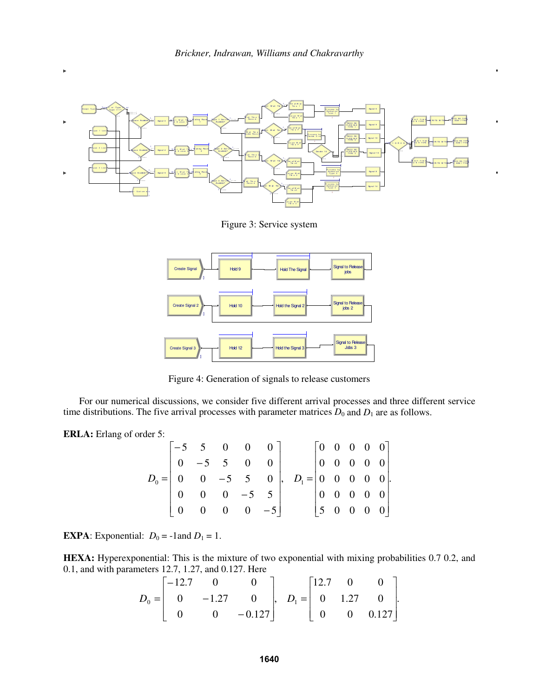

Figure 3: Service system



Figure 4: Generation of signals to release customers

 For our numerical discussions, we consider five different arrival processes and three different service time distributions. The five arrival processes with parameter matrices  $D_0$  and  $D_1$  are as follows.

**ERLA:** Erlang of order 5:

 $\triangleright$ 

|                                        |              |                     | $\begin{bmatrix} -5 & 5 & 0 & 0 & 0 \end{bmatrix}$                                   |                                              |                 |                |                                               | $\begin{bmatrix} 0 & 0 & 0 & 0 & 0 \end{bmatrix}$ |
|----------------------------------------|--------------|---------------------|--------------------------------------------------------------------------------------|----------------------------------------------|-----------------|----------------|-----------------------------------------------|---------------------------------------------------|
|                                        |              |                     | $\begin{array}{cccc} \begin{array}{cccc} 0 & -5 & 5 & 0 & 0 \end{array} \end{array}$ |                                              |                 |                |                                               | $\begin{bmatrix} 0 & 0 & 0 & 0 & 0 \end{bmatrix}$ |
|                                        |              |                     |                                                                                      | $D_0 =   0 0 -5 5 0  , D_1 =   0 0 0 0 0  .$ |                 |                |                                               |                                                   |
|                                        |              | $0 \t 0 \t -5 \t 5$ |                                                                                      |                                              | $\vert 0 \vert$ |                | $\begin{bmatrix} 0 & 0 & 0 & 0 \end{bmatrix}$ |                                                   |
| $\begin{pmatrix} 0 \\ 0 \end{pmatrix}$ | $0 \qquad 0$ | $\overline{0}$      | $-5$                                                                                 |                                              | $\sqrt{5}$      | $\overline{0}$ | $0 \quad 0 \quad 0$                           |                                                   |

**EXPA**: Exponential:  $D_0 = -1$ and  $D_1 = 1$ .

**HEXA:** Hyperexponential: This is the mixture of two exponential with mixing probabilities 0.7 0.2, and 0.1, and with parameters 12.7, 1.27, and 0.127. Here

$$
D_0 = \begin{bmatrix} -12.7 & 0 & 0 \\ 0 & -1.27 & 0 \\ 0 & 0 & -0.127 \end{bmatrix}, \quad D_1 = \begin{bmatrix} 12.7 & 0 & 0 \\ 0 & 1.27 & 0 \\ 0 & 0 & 0.127 \end{bmatrix}.
$$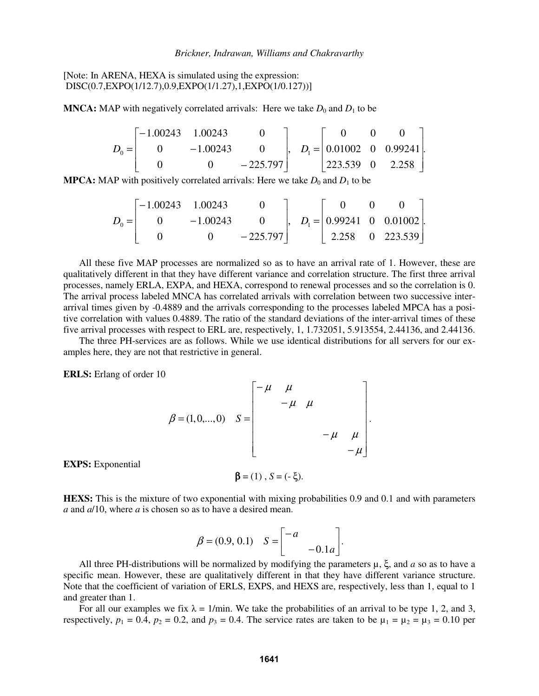[Note: In ARENA, HEXA is simulated using the expression: DISC(0.7,EXPO(1/12.7),0.9,EXPO(1/1.27),1,EXPO(1/0.127))]

**MNCA:** MAP with negatively correlated arrivals: Here we take  $D_0$  and  $D_1$  to be

$$
D_0 = \begin{bmatrix} -1.00243 & 1.00243 & 0 \\ 0 & -1.00243 & 0 \\ 0 & 0 & -225.797 \end{bmatrix}, \quad D_1 = \begin{bmatrix} 0 & 0 & 0 \\ 0.01002 & 0 & 0.99241 \\ 223.539 & 0 & 2.258 \end{bmatrix}.
$$

**MPCA:** MAP with positively correlated arrivals: Here we take  $D_0$  and  $D_1$  to be

$$
D_0 = \begin{bmatrix} -1.00243 & 1.00243 & 0 \\ 0 & -1.00243 & 0 \\ 0 & 0 & -225.797 \end{bmatrix}, \quad D_1 = \begin{bmatrix} 0 & 0 & 0 \\ 0.99241 & 0 & 0.01002 \\ 2.258 & 0 & 223.539 \end{bmatrix}.
$$

 All these five MAP processes are normalized so as to have an arrival rate of 1. However, these are qualitatively different in that they have different variance and correlation structure. The first three arrival processes, namely ERLA, EXPA, and HEXA, correspond to renewal processes and so the correlation is 0. The arrival process labeled MNCA has correlated arrivals with correlation between two successive interarrival times given by -0.4889 and the arrivals corresponding to the processes labeled MPCA has a positive correlation with values 0.4889. The ratio of the standard deviations of the inter-arrival times of these five arrival processes with respect to ERL are, respectively, 1, 1.732051, 5.913554, 2.44136, and 2.44136.

 The three PH-services are as follows. While we use identical distributions for all servers for our examples here, they are not that restrictive in general.

**ERLS:** Erlang of order 10

$$
\beta = (1, 0, \dots, 0) \quad S = \begin{bmatrix} -\mu & \mu & & & \\ & -\mu & \mu & & \\ & & & -\mu & \mu \\ & & & & -\mu \end{bmatrix}.
$$

**EXPS:** Exponential

$$
\beta = (1) , S = (-\xi).
$$

**HEXS:** This is the mixture of two exponential with mixing probabilities 0.9 and 0.1 and with parameters *a* and *a*/10, where *a* is chosen so as to have a desired mean.

$$
\beta = (0.9, 0.1) \quad S = \begin{bmatrix} -a & & \\ & -0.1a \end{bmatrix}.
$$

 All three PH-distributions will be normalized by modifying the parameters µ, ξ, and *a* so as to have a specific mean. However, these are qualitatively different in that they have different variance structure. Note that the coefficient of variation of ERLS, EXPS, and HEXS are, respectively, less than 1, equal to 1 and greater than 1.

For all our examples we fix  $\lambda = 1/\text{min}$ . We take the probabilities of an arrival to be type 1, 2, and 3, respectively,  $p_1 = 0.4$ ,  $p_2 = 0.2$ , and  $p_3 = 0.4$ . The service rates are taken to be  $\mu_1 = \mu_2 = \mu_3 = 0.10$  per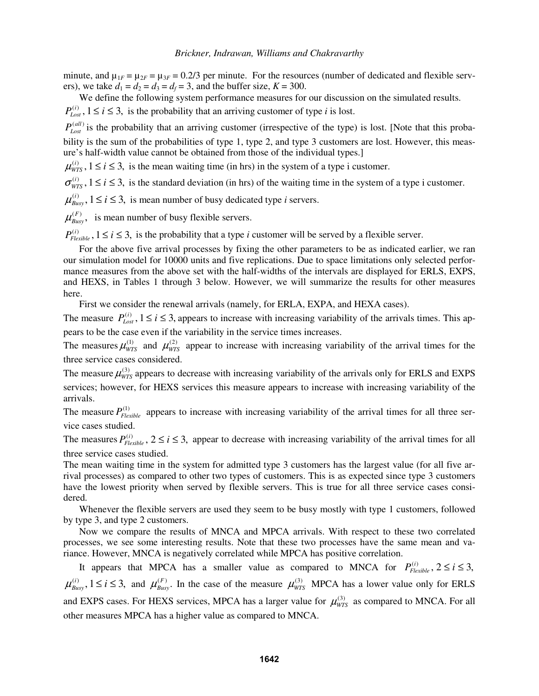minute, and  $\mu_{1F} = \mu_{2F} = \mu_{3F} = 0.2/3$  per minute. For the resources (number of dedicated and flexible servers), we take  $d_1 = d_2 = d_3 = d_f = 3$ , and the buffer size,  $K = 300$ .

We define the following system performance measures for our discussion on the simulated results.

 $P_{\text{Lost}}^{(i)}$ ,  $1 \le i \le 3$ , is the probability that an arriving customer of type *i* is lost.

 $P_{\text{lost}}^{(all)}$  is the probability that an arriving customer (irrespective of the type) is lost. [Note that this probability is the sum of the probabilities of type 1, type 2, and type 3 customers are lost. However, this measure's half-width value cannot be obtained from those of the individual types.]

 $\mu_{WTS}^{(i)}$ ,  $1 \le i \le 3$ , is the mean waiting time (in hrs) in the system of a type i customer.

 $\sigma_{WTS}^{(i)}$ ,  $1 \le i \le 3$ , is the standard deviation (in hrs) of the waiting time in the system of a type i customer.

 $\mu_{Buxy}^{(i)}$ ,  $1 \le i \le 3$ , is mean number of busy dedicated type *i* servers.

 $\mu_{B_{\text{Hav}}}^{(F)}$ , is mean number of busy flexible servers.

 $P_{Flexible}^{(i)}$ ,  $1 \le i \le 3$ , is the probability that a type *i* customer will be served by a flexible server.

 For the above five arrival processes by fixing the other parameters to be as indicated earlier, we ran our simulation model for 10000 units and five replications. Due to space limitations only selected performance measures from the above set with the half-widths of the intervals are displayed for ERLS, EXPS, and HEXS, in Tables 1 through 3 below. However, we will summarize the results for other measures here.

First we consider the renewal arrivals (namely, for ERLA, EXPA, and HEXA cases).

The measure  $P_{Lost}^{(i)}$ ,  $1 \le i \le 3$ , appears to increase with increasing variability of the arrivals times. This appears to be the case even if the variability in the service times increases.

The measures  $\mu_{WTS}^{(1)}$  and  $\mu_{WTS}^{(2)}$  appear to increase with increasing variability of the arrival times for the three service cases considered.

The measure  $\mu_{WTS}^{(3)}$  appears to decrease with increasing variability of the arrivals only for ERLS and EXPS services; however, for HEXS services this measure appears to increase with increasing variability of the arrivals.

The measure  $P_{Flexible}^{(1)}$  appears to increase with increasing variability of the arrival times for all three service cases studied.

The measures  $P_{Flexible}^{(i)}$ ,  $2 \le i \le 3$ , appear to decrease with increasing variability of the arrival times for all three service cases studied.

The mean waiting time in the system for admitted type 3 customers has the largest value (for all five arrival processes) as compared to other two types of customers. This is as expected since type 3 customers have the lowest priority when served by flexible servers. This is true for all three service cases considered.

 Whenever the flexible servers are used they seem to be busy mostly with type 1 customers, followed by type 3, and type 2 customers.

 Now we compare the results of MNCA and MPCA arrivals. With respect to these two correlated processes, we see some interesting results. Note that these two processes have the same mean and variance. However, MNCA is negatively correlated while MPCA has positive correlation.

It appears that MPCA has a smaller value as compared to MNCA for  $P_{Flexible}^{(i)}$ ,  $2 \le i \le 3$ ,  $\mu_{Buxy}^{(i)}$ ,  $1 \le i \le 3$ , and  $\mu_{Buxy}^{(F)}$ . In the case of the measure  $\mu_{WTS}^{(3)}$  MPCA has a lower value only for ERLS and EXPS cases. For HEXS services, MPCA has a larger value for  $\mu_{WTS}^{(3)}$  as compared to MNCA. For all other measures MPCA has a higher value as compared to MNCA.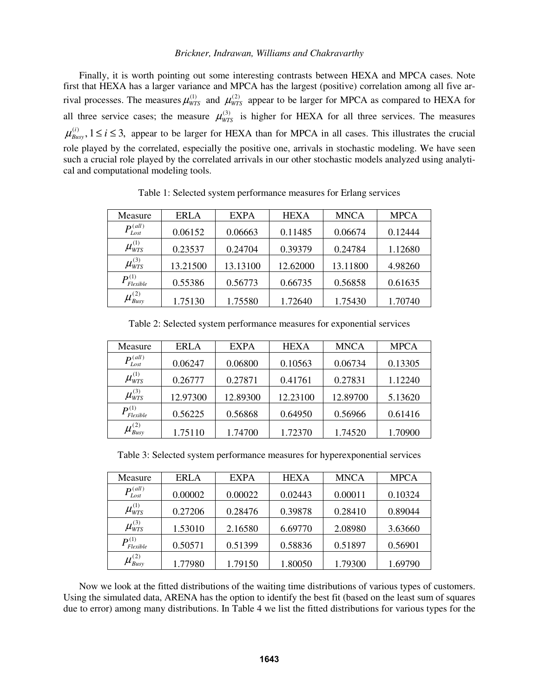Finally, it is worth pointing out some interesting contrasts between HEXA and MPCA cases. Note first that HEXA has a larger variance and MPCA has the largest (positive) correlation among all five arrival processes. The measures  $\mu_{WTS}^{(1)}$  and  $\mu_{WTS}^{(2)}$  appear to be larger for MPCA as compared to HEXA for all three service cases; the measure  $\mu_{WTS}^{(3)}$  is higher for HEXA for all three services. The measures  $\mu_{Busy}^{(i)}$ ,  $1 \le i \le 3$ , appear to be larger for HEXA than for MPCA in all cases. This illustrates the crucial role played by the correlated, especially the positive one, arrivals in stochastic modeling. We have seen such a crucial role played by the correlated arrivals in our other stochastic models analyzed using analytical and computational modeling tools.

| Measure                                                     | <b>ERLA</b> | <b>EXPA</b> | <b>HEXA</b> | <b>MNCA</b> | <b>MPCA</b> |
|-------------------------------------------------------------|-------------|-------------|-------------|-------------|-------------|
| $P_{\rm{Lost}}^{(all)}$                                     | 0.06152     | 0.06663     | 0.11485     | 0.06674     | 0.12444     |
| $\mu_{\rm \scriptscriptstyle WTS}^{\scriptscriptstyle (1)}$ | 0.23537     | 0.24704     | 0.39379     | 0.24784     | 1.12680     |
| $\mu_{\rm WTS}^{(3)}$                                       | 13.21500    | 13.13100    | 12.62000    | 13.11800    | 4.98260     |
| $P_{Flexible}^{(1)}$                                        | 0.55386     | 0.56773     | 0.66735     | 0.56858     | 0.61635     |
| $\mu_{\scriptscriptstyle Busy}^{\scriptscriptstyle (2)}$    | 1.75130     | 1.75580     | 1.72640     | 1.75430     | 1.70740     |

Table 1: Selected system performance measures for Erlang services

| Table 2: Selected system performance measures for exponential services |  |  |
|------------------------------------------------------------------------|--|--|
|------------------------------------------------------------------------|--|--|

| Measure                            | <b>ERLA</b> | <b>EXPA</b> | <b>HEXA</b> | <b>MNCA</b> | <b>MPCA</b> |
|------------------------------------|-------------|-------------|-------------|-------------|-------------|
| $P_{\text{Lost}}^{(\text{all})}$   | 0.06247     | 0.06800     | 0.10563     | 0.06734     | 0.13305     |
| $\mu_{\rm WTS}^{\text{\tiny (1)}}$ | 0.26777     | 0.27871     | 0.41761     | 0.27831     | 1.12240     |
| $\mu_{WTS}^{(3)}$                  | 12.97300    | 12.89300    | 12.23100    | 12.89700    | 5.13620     |
| $P_{Flexible}^{(1)}$               | 0.56225     | 0.56868     | 0.64950     | 0.56966     | 0.61416     |
| $\mu_{\tiny\it Busy}^{(2)}$        | 1.75110     | 1.74700     | 1.72370     | 1.74520     | 1.70900     |

Table 3: Selected system performance measures for hyperexponential services

| Measure                                                  | <b>ERLA</b> | <b>EXPA</b> | <b>HEXA</b> | <b>MNCA</b> | <b>MPCA</b> |
|----------------------------------------------------------|-------------|-------------|-------------|-------------|-------------|
| $P_{\text{Lost}}^{(\text{all})}$                         | 0.00002     | 0.00022     | 0.02443     | 0.00011     | 0.10324     |
| $\mu_{\rm WTS}^{\text{\tiny (1)}}$                       | 0.27206     | 0.28476     | 0.39878     | 0.28410     | 0.89044     |
| $\mu_{\rm WTS}^{(3)}$                                    | 1.53010     | 2.16580     | 6.69770     | 2.08980     | 3.63660     |
| $P^{(1)}_{Flexible}$                                     | 0.50571     | 0.51399     | 0.58836     | 0.51897     | 0.56901     |
| $\mu_{\scriptscriptstyle Busy}^{\scriptscriptstyle (2)}$ | 1.77980     | 1.79150     | 1.80050     | 1.79300     | 1.69790     |

 Now we look at the fitted distributions of the waiting time distributions of various types of customers. Using the simulated data, ARENA has the option to identify the best fit (based on the least sum of squares due to error) among many distributions. In Table 4 we list the fitted distributions for various types for the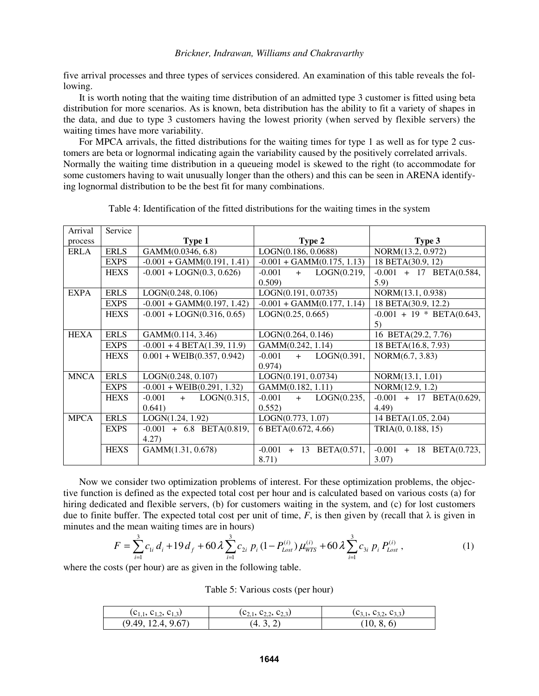five arrival processes and three types of services considered. An examination of this table reveals the following.

 It is worth noting that the waiting time distribution of an admitted type 3 customer is fitted using beta distribution for more scenarios. As is known, beta distribution has the ability to fit a variety of shapes in the data, and due to type 3 customers having the lowest priority (when served by flexible servers) the waiting times have more variability.

 For MPCA arrivals, the fitted distributions for the waiting times for type 1 as well as for type 2 customers are beta or lognormal indicating again the variability caused by the positively correlated arrivals. Normally the waiting time distribution in a queueing model is skewed to the right (to accommodate for some customers having to wait unusually longer than the others) and this can be seen in ARENA identifying lognormal distribution to be the best fit for many combinations.

| Arrival     | Service     |                                     |                                   |                              |
|-------------|-------------|-------------------------------------|-----------------------------------|------------------------------|
| process     |             | Type 1                              | Type 2                            | Type 3                       |
| ERLA        | <b>ERLS</b> | GAMM(0.0346, 6.8)                   | LOGN(0.186, 0.0688)               | NORM(13.2, 0.972)            |
|             | <b>EXPS</b> | $-0.001 + GAMM(0.191, 1.41)$        | $-0.001 + GAMM(0.175, 1.13)$      | 18 BETA(30.9, 12)            |
|             | <b>HEXS</b> | $-0.001 + LOGN(0.3, 0.626)$         | $-0.001$<br>LOGN(0.219,<br>$+$    | $-0.001$ + 17 BETA $(0.584,$ |
|             |             |                                     | 0.509                             | 5.9                          |
| <b>EXPA</b> | <b>ERLS</b> | LOGN(0.248, 0.106)                  | LOGN(0.191, 0.0735)               | NORM(13.1, 0.938)            |
|             | <b>EXPS</b> | $-0.001 + GAMM(0.197, 1.42)$        | $-0.001 + GAMM(0.177, 1.14)$      | 18 BETA(30.9, 12.2)          |
|             | <b>HEXS</b> | $-0.001 + LOGN(0.316, 0.65)$        | LOGN(0.25, 0.665)                 | $-0.001 + 19 * BETA(0.643)$  |
|             |             |                                     |                                   | 5)                           |
| <b>HEXA</b> | <b>ERLS</b> | GAMM(0.114, 3.46)                   | LOGN(0.264, 0.146)                | 16 BETA(29.2, 7.76)          |
|             | <b>EXPS</b> | $-0.001 + 4 BETA(1.39, 11.9)$       | GAMM(0.242, 1.14)                 | 18 BETA(16.8, 7.93)          |
|             | <b>HEXS</b> | $0.001 + \text{WEIB}(0.357, 0.942)$ | LOGN(0.391,<br>$-0.001$<br>$+$    | NORM(6.7, 3.83)              |
|             |             |                                     | 0.974)                            |                              |
| <b>MNCA</b> | <b>ERLS</b> | LOGN(0.248, 0.107)                  | LOGN(0.191, 0.0734)               | NORM(13.1, 1.01)             |
|             | <b>EXPS</b> | $-0.001 + \text{WEIB}(0.291, 1.32)$ | GAMM(0.182, 1.11)                 | NORM(12.9, 1.2)              |
|             | <b>HEXS</b> | $-0.001$<br>LOGN(0.315,<br>$+$      | $-0.001$<br>LOGN(0.235,<br>$+$    | $-0.001$ + 17 BETA $(0.629,$ |
|             |             | 0.641)                              | 0.552)                            | 4.49)                        |
| <b>MPCA</b> | <b>ERLS</b> | LOGN(1.24, 1.92)                    | LOGN(0.773, 1.07)                 | 14 BETA(1.05, 2.04)          |
|             | <b>EXPS</b> | $-0.001 + 6.8$ BETA $(0.819,$       | 6 BETA(0.672, 4.66)               | TRIA(0, 0.188, 15)           |
|             |             | 4.27)                               |                                   |                              |
|             | <b>HEXS</b> | GAMM(1.31, 0.678)                   | $+ 13$ BETA $(0.571,$<br>$-0.001$ | $-0.001 + 18$ BETA $(0.723,$ |
|             |             |                                     | 8.71)                             | 3.07)                        |

Table 4: Identification of the fitted distributions for the waiting times in the system

 Now we consider two optimization problems of interest. For these optimization problems, the objective function is defined as the expected total cost per hour and is calculated based on various costs (a) for hiring dedicated and flexible servers, (b) for customers waiting in the system, and (c) for lost customers due to finite buffer. The expected total cost per unit of time,  $F$ , is then given by (recall that  $\lambda$  is given in minutes and the mean waiting times are in hours)

$$
F = \sum_{i=1}^{3} c_{1i} d_i + 19 d_f + 60 \lambda \sum_{i=1}^{3} c_{2i} p_i (1 - P_{Lost}^{(i)}) \mu_{WTS}^{(i)} + 60 \lambda \sum_{i=1}^{3} c_{3i} p_i P_{Lost}^{(i)}, \qquad (1)
$$

where the costs (per hour) are as given in the following table.

Table 5: Various costs (per hour)

| $(C_{1,1}, C_{1,2}, C_{1,3})$ | $C_{2,2}$ , $C_{2,3}$ |          |
|-------------------------------|-----------------------|----------|
| (9.49, 12.4, 9.67)            | 13D)<br>. –. Ј. ∠.    | 10, 8, 6 |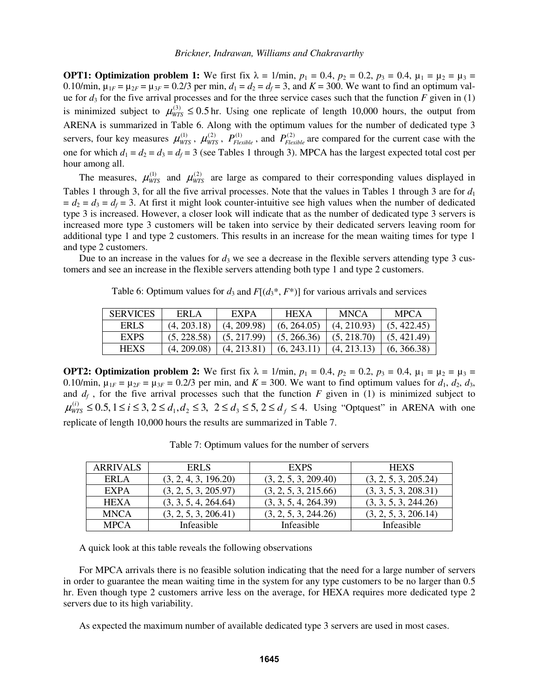**OPT1: Optimization problem 1:** We first fix  $\lambda = 1/\text{min}$ ,  $p_1 = 0.4$ ,  $p_2 = 0.2$ ,  $p_3 = 0.4$ ,  $\mu_1 = \mu_2 = \mu_3 =$ 0.10/min,  $\mu_{1F} = \mu_{2F} = \mu_{3F} = 0.2/3$  per min,  $d_1 = d_2 = d_f = 3$ , and  $K = 300$ . We want to find an optimum value for  $d_3$  for the five arrival processes and for the three service cases such that the function  $F$  given in (1) is minimized subject to  $\mu_{WTS}^{(3)} \leq 0.5$  hr. Using one replicate of length 10,000 hours, the output from ARENA is summarized in Table 6. Along with the optimum values for the number of dedicated type 3 servers, four key measures  $\mu_{WTS}^{(1)}$ ,  $\mu_{WTS}^{(2)}$ ,  $P_{Flexible}^{(1)}$ , and  $P_{Flexible}^{(2)}$  are compared for the current case with the one for which  $d_1 = d_2 = d_3 = d_f = 3$  (see Tables 1 through 3). MPCA has the largest expected total cost per hour among all.

The measures,  $\mu_{WTS}^{(1)}$  and  $\mu_{WTS}^{(2)}$  are large as compared to their corresponding values displayed in Tables 1 through 3, for all the five arrival processes. Note that the values in Tables 1 through 3 are for  $d_1$  $d_2 = d_3 = d_f = 3$ . At first it might look counter-intuitive see high values when the number of dedicated type 3 is increased. However, a closer look will indicate that as the number of dedicated type 3 servers is increased more type 3 customers will be taken into service by their dedicated servers leaving room for additional type 1 and type 2 customers. This results in an increase for the mean waiting times for type 1 and type 2 customers.

Due to an increase in the values for  $d_3$  we see a decrease in the flexible servers attending type 3 customers and see an increase in the flexible servers attending both type 1 and type 2 customers.

| Table 6: Optimum values for $d_3$ and $F[(d_3^*, F^*)]$ for various arrivals and services |  |  |  |  |  |  |
|-------------------------------------------------------------------------------------------|--|--|--|--|--|--|
|-------------------------------------------------------------------------------------------|--|--|--|--|--|--|

| <b>SERVICES</b> | FRI A       | EXPA        | <b>HEXA</b> | <b>MNCA</b> | <b>MPCA</b> |
|-----------------|-------------|-------------|-------------|-------------|-------------|
| ERLS            | (4, 203.18) | (4. 209.98) | (6, 264.05) | (4, 210.93) | (5, 422.45) |
| <b>EXPS</b>     | (5, 228.58) | (5. 217.99) | (5, 266.36) | (5, 218.70) | (5, 421.49) |
| <b>HEXS</b>     | (4, 209.08) | (4, 213.81  | (6, 243.11) | (4, 213.13) | (6, 366.38) |
|                 |             |             |             |             |             |

**OPT2: Optimization problem 2:** We first fix  $λ = 1/min$ ,  $p_1 = 0.4$ ,  $p_2 = 0.2$ ,  $p_3 = 0.4$ ,  $μ_1 = μ_2 = μ_3 =$ 0.10/min,  $\mu_{1F} = \mu_{2F} = \mu_{3F} = 0.2/3$  per min, and  $K = 300$ . We want to find optimum values for  $d_1, d_2, d_3$ , and  $d_f$ , for the five arrival processes such that the function *F* given in (1) is minimized subject to  $\mu_{WTS}^{(i)} \le 0.5, 1 \le i \le 3, 2 \le d_1, d_2 \le 3, 2 \le d_3 \le 5, 2 \le d_f \le 4$ . Using "Optquest" in ARENA with one replicate of length 10,000 hours the results are summarized in Table 7.

| <b>ARRIVALS</b> | <b>ERLS</b>          | <b>EXPS</b>          | <b>HEXS</b>          |
|-----------------|----------------------|----------------------|----------------------|
| ERLA            | (3, 2, 4, 3, 196.20) | (3, 2, 5, 3, 209.40) | (3, 2, 5, 3, 205.24) |
| EXPA            | (3, 2, 5, 3, 205.97) | (3, 2, 5, 3, 215.66) | (3, 3, 5, 3, 208.31) |
| <b>HEXA</b>     | (3, 3, 5, 4, 264.64) | (3, 3, 5, 4, 264.39) | (3, 3, 5, 3, 244.26) |
| <b>MNCA</b>     | (3, 2, 5, 3, 206.41) | (3, 2, 5, 3, 244.26) | (3, 2, 5, 3, 206.14) |
| <b>MPCA</b>     | Infeasible           | <b>Infeasible</b>    | <b>Infeasible</b>    |

Table 7: Optimum values for the number of servers

A quick look at this table reveals the following observations

 For MPCA arrivals there is no feasible solution indicating that the need for a large number of servers in order to guarantee the mean waiting time in the system for any type customers to be no larger than 0.5 hr. Even though type 2 customers arrive less on the average, for HEXA requires more dedicated type 2 servers due to its high variability.

As expected the maximum number of available dedicated type 3 servers are used in most cases.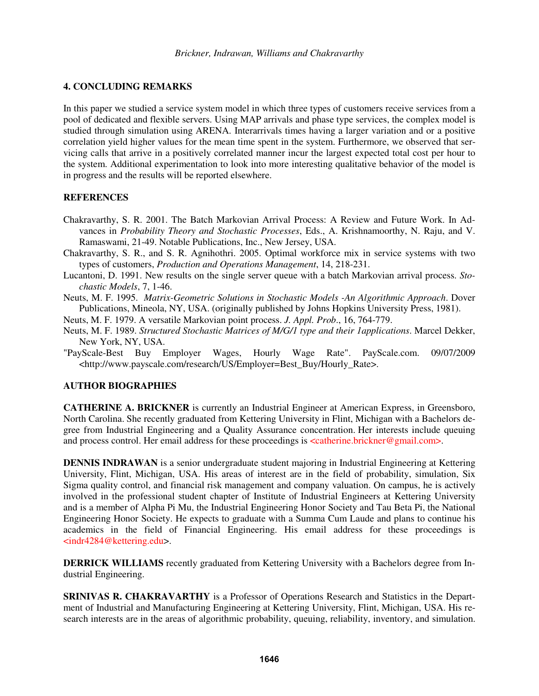# **4. CONCLUDING REMARKS**

In this paper we studied a service system model in which three types of customers receive services from a pool of dedicated and flexible servers. Using MAP arrivals and phase type services, the complex model is studied through simulation using ARENA. Interarrivals times having a larger variation and or a positive correlation yield higher values for the mean time spent in the system. Furthermore, we observed that servicing calls that arrive in a positively correlated manner incur the largest expected total cost per hour to the system. Additional experimentation to look into more interesting qualitative behavior of the model is in progress and the results will be reported elsewhere.

# **REFERENCES**

- Chakravarthy, S. R. 2001. The Batch Markovian Arrival Process: A Review and Future Work. In Advances in *Probability Theory and Stochastic Processes*, Eds., A. Krishnamoorthy, N. Raju, and V. Ramaswami, 21-49. Notable Publications, Inc., New Jersey, USA.
- Chakravarthy, S. R., and S. R. Agnihothri. 2005. Optimal workforce mix in service systems with two types of customers, *Production and Operations Management*, 14, 218-231.
- Lucantoni, D. 1991. New results on the single server queue with a batch Markovian arrival process. *Stochastic Models*, 7, 1-46.
- Neuts, M. F. 1995. *Matrix-Geometric Solutions in Stochastic Models -An Algorithmic Approach*. Dover Publications, Mineola, NY, USA. (originally published by Johns Hopkins University Press, 1981).
- Neuts, M. F. 1979. A versatile Markovian point process. *J. Appl. Prob*., 16, 764-779.
- Neuts, M. F. 1989. *Structured Stochastic Matrices of M/G/1 type and their 1applications*. Marcel Dekker, New York, NY, USA.
- "PayScale-Best Buy Employer Wages, Hourly Wage Rate". PayScale.com. 09/07/2009 <http://www.payscale.com/research/US/Employer=Best\_Buy/Hourly\_Rate>.

# **AUTHOR BIOGRAPHIES**

**CATHERINE A. BRICKNER** is currently an Industrial Engineer at American Express, in Greensboro, North Carolina. She recently graduated from Kettering University in Flint, Michigan with a Bachelors degree from Industrial Engineering and a Quality Assurance concentration. Her interests include queuing and process control. Her email address for these proceedings is <catherine.brickner@gmail.com>.

**DENNIS INDRAWAN** is a senior undergraduate student majoring in Industrial Engineering at Kettering University, Flint, Michigan, USA. His areas of interest are in the field of probability, simulation, Six Sigma quality control, and financial risk management and company valuation. On campus, he is actively involved in the professional student chapter of Institute of Industrial Engineers at Kettering University and is a member of Alpha Pi Mu, the Industrial Engineering Honor Society and Tau Beta Pi, the National Engineering Honor Society. He expects to graduate with a Summa Cum Laude and plans to continue his academics in the field of Financial Engineering. His email address for these proceedings is <indr4284@kettering.edu>.

**DERRICK WILLIAMS** recently graduated from Kettering University with a Bachelors degree from Industrial Engineering.

**SRINIVAS R. CHAKRAVARTHY** is a Professor of Operations Research and Statistics in the Department of Industrial and Manufacturing Engineering at Kettering University, Flint, Michigan, USA. His research interests are in the areas of algorithmic probability, queuing, reliability, inventory, and simulation.